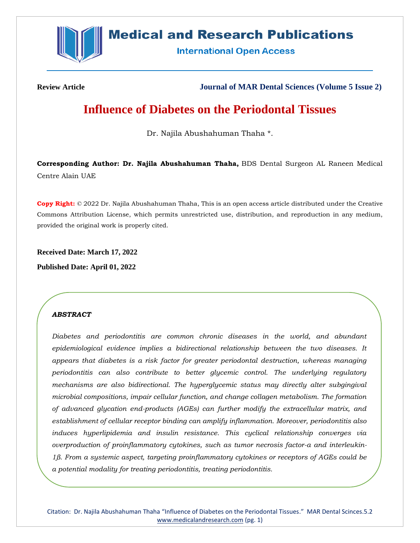

# **Medical and Research Publications**

**International Open Access** 

**Review Article Journal of MAR Dental Sciences (Volume 5 Issue 2)**

# **Influence of Diabetes on the Periodontal Tissues**

Dr. Najila Abushahuman Thaha \*.

**Corresponding Author: Dr. Najila Abushahuman Thaha,** BDS Dental Surgeon AL Raneen Medical Centre Alain UAE

**Copy Right:** © 2022 Dr. Najila Abushahuman Thaha, This is an open access article distributed under the Creative Commons Attribution License, which permits unrestricted use, distribution, and reproduction in any medium, provided the original work is properly cited.

**Received Date: March 17, 2022**

**Published Date: April 01, 2022**

## *ABSTRACT*

*Diabetes and periodontitis are common chronic diseases in the world, and abundant epidemiological evidence implies a bidirectional relationship between the two diseases. It appears that diabetes is a risk factor for greater periodontal destruction, whereas managing periodontitis can also contribute to better glycemic control. The underlying regulatory mechanisms are also bidirectional. The hyperglycemic status may directly alter subgingival microbial compositions, impair cellular function, and change collagen metabolism. The formation of advanced glycation end-products (AGEs) can further modify the extracellular matrix, and establishment of cellular receptor binding can amplify inflammation. Moreover, periodontitis also induces hyperlipidemia and insulin resistance. This cyclical relationship converges via overproduction of proinflammatory cytokines, such as tumor necrosis factor-α and interleukin-1β. From a systemic aspect, targeting proinflammatory cytokines or receptors of AGEs could be a potential modality for treating periodontitis, treating periodontitis.*

Citation: Dr. Najila Abushahuman Thaha "Influence of Diabetes on the Periodontal Tissues." MAR Dental Scinces.5.2 [www.medicalandresearch.com](http://www.medicalandresearch.com/) (pg. 1)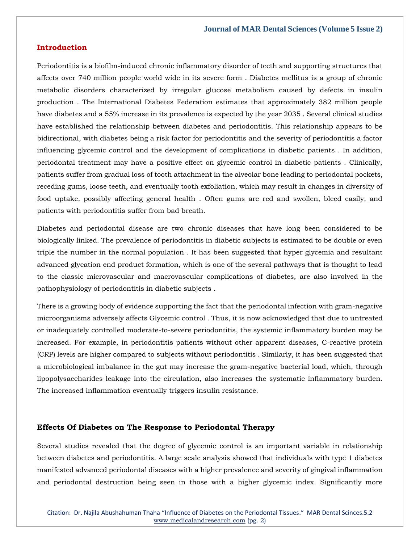#### **Introduction**

Periodontitis is a biofilm-induced chronic inflammatory disorder of teeth and supporting structures that affects over 740 million people world wide in its severe form . Diabetes mellitus is a group of chronic metabolic disorders characterized by irregular glucose metabolism caused by defects in insulin production . The International Diabetes Federation estimates that approximately 382 million people have diabetes and a 55% increase in its prevalence is expected by the year 2035 . Several clinical studies have established the relationship between diabetes and periodontitis. This relationship appears to be bidirectional, with diabetes being a risk factor for periodontitis and the severity of periodontitis a factor influencing glycemic control and the development of complications in diabetic patients . In addition, periodontal treatment may have a positive effect on glycemic control in diabetic patients . Clinically, patients suffer from gradual loss of tooth attachment in the alveolar bone leading to periodontal pockets, receding gums, loose teeth, and eventually tooth exfoliation, which may result in changes in diversity of food uptake, possibly affecting general health . Often gums are red and swollen, bleed easily, and patients with periodontitis suffer from bad breath.

Diabetes and periodontal disease are two chronic diseases that have long been considered to be biologically linked. The prevalence of periodontitis in diabetic subjects is estimated to be double or even triple the number in the normal population . It has been suggested that hyper glycemia and resultant advanced glycation end product formation, which is one of the several pathways that is thought to lead to the classic microvascular and macrovascular complications of diabetes, are also involved in the pathophysiology of periodontitis in diabetic subjects .

There is a growing body of evidence supporting the fact that the periodontal infection with gram-negative microorganisms adversely affects Glycemic control . Thus, it is now acknowledged that due to untreated or inadequately controlled moderate-to-severe periodontitis, the systemic inflammatory burden may be increased. For example, in periodontitis patients without other apparent diseases, C-reactive protein (CRP) levels are higher compared to subjects without periodontitis . Similarly, it has been suggested that a microbiological imbalance in the gut may increase the gram-negative bacterial load, which, through lipopolysaccharides leakage into the circulation, also increases the systematic inflammatory burden. The increased inflammation eventually triggers insulin resistance.

#### **Effects Of Diabetes on The Response to Periodontal Therapy**

Several studies revealed that the degree of glycemic control is an important variable in relationship between diabetes and periodontitis. A large scale analysis showed that individuals with type 1 diabetes manifested advanced periodontal diseases with a higher prevalence and severity of gingival inflammation and periodontal destruction being seen in those with a higher glycemic index. Significantly more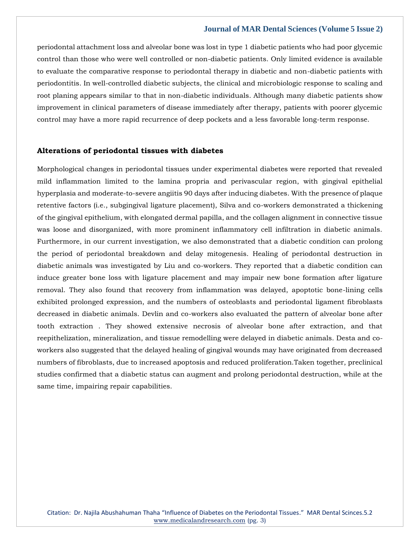periodontal attachment loss and alveolar bone was lost in type 1 diabetic patients who had poor glycemic control than those who were well controlled or non-diabetic patients. Only limited evidence is available to evaluate the comparative response to periodontal therapy in diabetic and non-diabetic patients with periodontitis. In well-controlled diabetic subjects, the clinical and microbiologic response to scaling and root planing appears similar to that in non-diabetic individuals. Although many diabetic patients show improvement in clinical parameters of disease immediately after therapy, patients with poorer glycemic control may have a more rapid recurrence of deep pockets and a less favorable long-term response.

### **Alterations of periodontal tissues with diabetes**

Morphological changes in periodontal tissues under experimental diabetes were reported that revealed mild inflammation limited to the lamina propria and perivascular region, with gingival epithelial hyperplasia and moderate-to-severe angiitis 90 days after inducing diabetes. With the presence of plaque retentive factors (i.e., subgingival ligature placement), Silva and co-workers demonstrated a thickening of the gingival epithelium, with elongated dermal papilla, and the collagen alignment in connective tissue was loose and disorganized, with more prominent inflammatory cell infiltration in diabetic animals. Furthermore, in our current investigation, we also demonstrated that a diabetic condition can prolong the period of periodontal breakdown and delay mitogenesis. Healing of periodontal destruction in diabetic animals was investigated by Liu and co-workers. They reported that a diabetic condition can induce greater bone loss with ligature placement and may impair new bone formation after ligature removal. They also found that recovery from inflammation was delayed, apoptotic bone-lining cells exhibited prolonged expression, and the numbers of osteoblasts and periodontal ligament fibroblasts decreased in diabetic animals. Devlin and co-workers also evaluated the pattern of alveolar bone after tooth extraction . They showed extensive necrosis of alveolar bone after extraction, and that reepithelization, mineralization, and tissue remodelling were delayed in diabetic animals. Desta and coworkers also suggested that the delayed healing of gingival wounds may have originated from decreased numbers of fibroblasts, due to increased apoptosis and reduced proliferation.Taken together, preclinical studies confirmed that a diabetic status can augment and prolong periodontal destruction, while at the same time, impairing repair capabilities.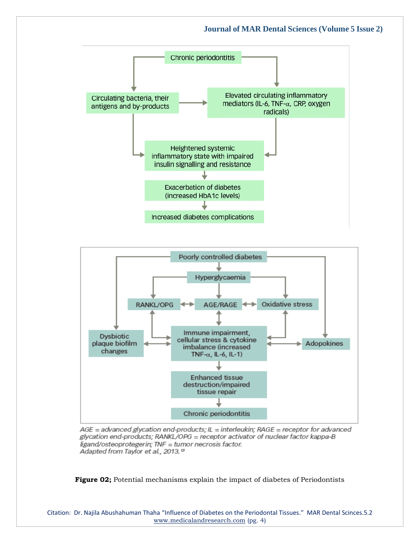



AGE = advanced glycation end-products; IL = interleukin; RAGE = receptor for advanced glycation end-products; RANKL/OPG = receptor activator of nuclear factor kappa-B ligand/osteoprotegerin; TNF = tumor necrosis factor. Adapted from Taylor et al., 2013.<sup>13</sup>

**Figure 02;** Potential mechanisms explain the impact of diabetes of Periodontists

Citation: Dr. Najila Abushahuman Thaha "Influence of Diabetes on the Periodontal Tissues." MAR Dental Scinces.5.2 [www.medicalandresearch.com](http://www.medicalandresearch.com/) (pg. 4)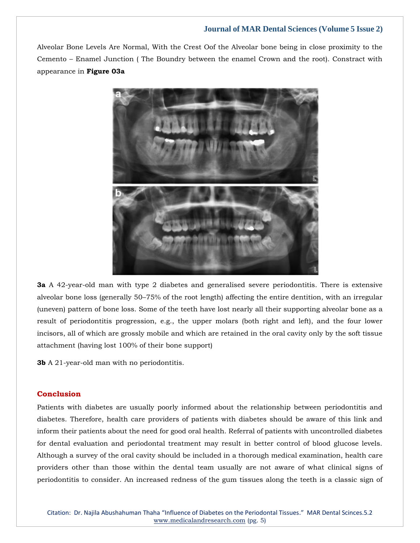Alveolar Bone Levels Are Normal, With the Crest Oof the Alveolar bone being in close proximity to the Cemento – Enamel Junction ( The Boundry between the enamel Crown and the root). Constract with appearance in **Figure 03a**



**3a** A 42-year-old man with type 2 diabetes and generalised severe periodontitis. There is extensive alveolar bone loss (generally 50–75% of the root length) affecting the entire dentition, with an irregular (uneven) pattern of bone loss. Some of the teeth have lost nearly all their supporting alveolar bone as a result of periodontitis progression, e.g., the upper molars (both right and left), and the four lower incisors, all of which are grossly mobile and which are retained in the oral cavity only by the soft tissue attachment (having lost 100% of their bone support)

**3b** A 21-year-old man with no periodontitis.

## **Conclusion**

Patients with diabetes are usually poorly informed about the relationship between periodontitis and diabetes. Therefore, health care providers of patients with diabetes should be aware of this link and inform their patients about the need for good oral health. Referral of patients with uncontrolled diabetes for dental evaluation and periodontal treatment may result in better control of blood glucose levels. Although a survey of the oral cavity should be included in a thorough medical examination, health care providers other than those within the dental team usually are not aware of what clinical signs of periodontitis to consider. An increased redness of the gum tissues along the teeth is a classic sign of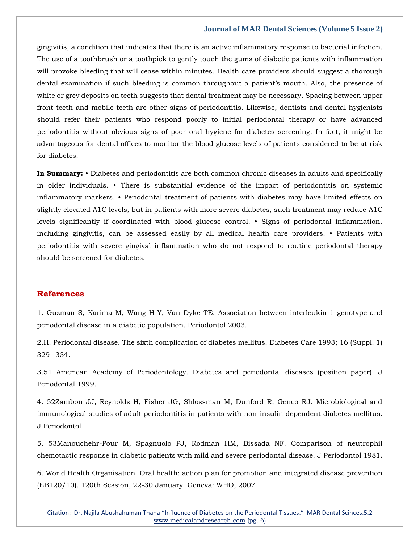gingivitis, a condition that indicates that there is an active inflammatory response to bacterial infection. The use of a toothbrush or a toothpick to gently touch the gums of diabetic patients with inflammation will provoke bleeding that will cease within minutes. Health care providers should suggest a thorough dental examination if such bleeding is common throughout a patient's mouth. Also, the presence of white or grey deposits on teeth suggests that dental treatment may be necessary. Spacing between upper front teeth and mobile teeth are other signs of periodontitis. Likewise, dentists and dental hygienists should refer their patients who respond poorly to initial periodontal therapy or have advanced periodontitis without obvious signs of poor oral hygiene for diabetes screening. In fact, it might be advantageous for dental offices to monitor the blood glucose levels of patients considered to be at risk for diabetes.

**In Summary:** • Diabetes and periodontitis are both common chronic diseases in adults and specifically in older individuals. • There is substantial evidence of the impact of periodontitis on systemic inflammatory markers. • Periodontal treatment of patients with diabetes may have limited effects on slightly elevated A1C levels, but in patients with more severe diabetes, such treatment may reduce A1C levels significantly if coordinated with blood glucose control. • Signs of periodontal inflammation, including gingivitis, can be assessed easily by all medical health care providers. • Patients with periodontitis with severe gingival inflammation who do not respond to routine periodontal therapy should be screened for diabetes.

## **References**

[1. Guzman S, Karima M, Wang H-Y, Van Dyke TE. Association between interleukin-1 genotype and](https://www.google.com/search?q=Association+between+interleukin-1+genotype+and+periodontal+disease+in+a+diabetic+population&sxsrf=APq-WBsf4iTbaE5pJjk7MQtUb0QuXgKECg%3A1647687609004&ei=uLc1YtXhPM-f4-EPwcOxwAI&ved=0ahUKEwjVnYrVgtL2AhXPzzgGHcFhDCgQ4dUDCA4&oq=Association+between+interleukin-1+genotype+and+periodontal+disease+in+a+diabetic+population&gs_lcp=Cgdnd3Mtd2l6EAwyBAgjECc6BwgjEOoCECdKBAhBGABKBAhGGABQGFgYYJEIaAFwAHgAgAFUiAFUkgEBMZgBAKABAaABArABCsABAQ&sclient=gws-wiz)  [periodontal disease in a diabetic population. Periodontol 2003.](https://www.google.com/search?q=Association+between+interleukin-1+genotype+and+periodontal+disease+in+a+diabetic+population&sxsrf=APq-WBsf4iTbaE5pJjk7MQtUb0QuXgKECg%3A1647687609004&ei=uLc1YtXhPM-f4-EPwcOxwAI&ved=0ahUKEwjVnYrVgtL2AhXPzzgGHcFhDCgQ4dUDCA4&oq=Association+between+interleukin-1+genotype+and+periodontal+disease+in+a+diabetic+population&gs_lcp=Cgdnd3Mtd2l6EAwyBAgjECc6BwgjEOoCECdKBAhBGABKBAhGGABQGFgYYJEIaAFwAHgAgAFUiAFUkgEBMZgBAKABAaABArABCsABAQ&sclient=gws-wiz)

[2.H. Periodontal disease. The sixth complication of diabetes mellitus. Diabetes Care 1993; 16 \(Suppl. 1\)](https://www.google.com/search?q=The+sixth+complication+of+diabetes+mellitus&sxsrf=APq-WBsDdRC-Ia_PTr84EDU8wql1Cg3s5g%3A1647687592837&ei=qLc1Yq_UMu2F4-EPh9OJ6Ac&ved=0ahUKEwivyK_NgtL2AhXtwjgGHYdpAn0Q4dUDCA4&oq=The+sixth+complication+of+diabetes+mellitus&gs_lcp=Cgdnd3Mtd2l6EAwyBAgjECcyBAgjECcyBggAEBYQHjoHCCMQ6gIQJ0oECEEYAEoECEYYAFA3WDdg0AhoAXABeACAAXKIAXKSAQMwLjGYAQCgAQGgAQKwAQrAAQE&sclient=gws-wiz)  329– [334.](https://www.google.com/search?q=The+sixth+complication+of+diabetes+mellitus&sxsrf=APq-WBsDdRC-Ia_PTr84EDU8wql1Cg3s5g%3A1647687592837&ei=qLc1Yq_UMu2F4-EPh9OJ6Ac&ved=0ahUKEwivyK_NgtL2AhXtwjgGHYdpAn0Q4dUDCA4&oq=The+sixth+complication+of+diabetes+mellitus&gs_lcp=Cgdnd3Mtd2l6EAwyBAgjECcyBAgjECcyBggAEBYQHjoHCCMQ6gIQJ0oECEEYAEoECEYYAFA3WDdg0AhoAXABeACAAXKIAXKSAQMwLjGYAQCgAQGgAQKwAQrAAQE&sclient=gws-wiz)

[3.51 American Academy of Periodontology. Diabetes and periodontal diseases \(position paper\). J](https://www.google.com/search?q=American+Academy+of+Periodontology.+Diabetes+and+periodontal+diseases+&sxsrf=APq-WBtdaRHh7j6CYoZhCixAwME3f-q5ag%3A1647687575572&ei=l7c1YsC6IsSJ4-EP7vOV4A8&ved=0ahUKEwiA4pHFgtL2AhXExDgGHe55BfwQ4dUDCA4&oq=American+Academy+of+Periodontology.+Diabetes+and+periodontal+diseases+&gs_lcp=Cgdnd3Mtd2l6EAw6BwgjEOoCECdKBAhBGABKBAhGGABQf1h_YMsFaAFwAHgAgAFkiAFkkgEDMC4xmAEAoAEBoAECsAEKwAEB&sclient=gws-wiz)  [Periodontal 1999.](https://www.google.com/search?q=American+Academy+of+Periodontology.+Diabetes+and+periodontal+diseases+&sxsrf=APq-WBtdaRHh7j6CYoZhCixAwME3f-q5ag%3A1647687575572&ei=l7c1YsC6IsSJ4-EP7vOV4A8&ved=0ahUKEwiA4pHFgtL2AhXExDgGHe55BfwQ4dUDCA4&oq=American+Academy+of+Periodontology.+Diabetes+and+periodontal+diseases+&gs_lcp=Cgdnd3Mtd2l6EAw6BwgjEOoCECdKBAhBGABKBAhGGABQf1h_YMsFaAFwAHgAgAFkiAFkkgEDMC4xmAEAoAEBoAECsAEKwAEB&sclient=gws-wiz)

[4. 52Zambon JJ, Reynolds H, Fisher JG, Shlossman M, Dunford R, Genco RJ. Microbiological and](https://www.google.com/search?q=Microbiological+and+immunological+studies+of+adult+periodontitis+in+patients+with+non-insulin+dependent+diabetes+mellitus.+&sxsrf=APq-WBuKmhysSKCoTc3gQYsXRYU86Qty4Q%3A1647687559449&ei=h7c1YtXxGvyW4-EPzbC5wAo&ved=0ahUKEwiV0bm9gtL2AhV8yzgGHU1YDqgQ4dUDCA4&oq=Microbiological+and+immunological+studies+of+adult+periodontitis+in+patients+with+non-insulin+dependent+diabetes+mellitus.+&gs_lcp=Cgdnd3Mtd2l6EAwyBwgjEOoCECcyBwgjEOoCECcyBwgjEOoCECcyBwgjEOoCECcyBwgjEOoCECcyBwgjEOoCECcyBwgjEOoCECcyBwgjEOoCECcyBwgjEOoCECcyBwgjEOoCECdKBAhBGABKBAhGGABQT1hPYP4HaAFwAHgAgAEAiAEAkgEAmAEAoAEBoAECsAEKwAEB&sclient=gws-wiz)  [immunological studies of adult periodontitis in patients with non-insulin dependent diabetes mellitus.](https://www.google.com/search?q=Microbiological+and+immunological+studies+of+adult+periodontitis+in+patients+with+non-insulin+dependent+diabetes+mellitus.+&sxsrf=APq-WBuKmhysSKCoTc3gQYsXRYU86Qty4Q%3A1647687559449&ei=h7c1YtXxGvyW4-EPzbC5wAo&ved=0ahUKEwiV0bm9gtL2AhV8yzgGHU1YDqgQ4dUDCA4&oq=Microbiological+and+immunological+studies+of+adult+periodontitis+in+patients+with+non-insulin+dependent+diabetes+mellitus.+&gs_lcp=Cgdnd3Mtd2l6EAwyBwgjEOoCECcyBwgjEOoCECcyBwgjEOoCECcyBwgjEOoCECcyBwgjEOoCECcyBwgjEOoCECcyBwgjEOoCECcyBwgjEOoCECcyBwgjEOoCECcyBwgjEOoCECdKBAhBGABKBAhGGABQT1hPYP4HaAFwAHgAgAEAiAEAkgEAmAEAoAEBoAECsAEKwAEB&sclient=gws-wiz)  [J Periodontol](https://www.google.com/search?q=Microbiological+and+immunological+studies+of+adult+periodontitis+in+patients+with+non-insulin+dependent+diabetes+mellitus.+&sxsrf=APq-WBuKmhysSKCoTc3gQYsXRYU86Qty4Q%3A1647687559449&ei=h7c1YtXxGvyW4-EPzbC5wAo&ved=0ahUKEwiV0bm9gtL2AhV8yzgGHU1YDqgQ4dUDCA4&oq=Microbiological+and+immunological+studies+of+adult+periodontitis+in+patients+with+non-insulin+dependent+diabetes+mellitus.+&gs_lcp=Cgdnd3Mtd2l6EAwyBwgjEOoCECcyBwgjEOoCECcyBwgjEOoCECcyBwgjEOoCECcyBwgjEOoCECcyBwgjEOoCECcyBwgjEOoCECcyBwgjEOoCECcyBwgjEOoCECcyBwgjEOoCECdKBAhBGABKBAhGGABQT1hPYP4HaAFwAHgAgAEAiAEAkgEAmAEAoAEBoAECsAEKwAEB&sclient=gws-wiz)

[5. 53Manouchehr-Pour M, Spagnuolo PJ, Rodman HM, Bissada NF. Comparison of neutrophil](https://www.google.com/search?q=Comparison+of+neutrophil+chemotactic+response+in+diabetic+patients+with+mild+and+severe+periodontal+disease.+&sxsrf=APq-WBtHIEIf4j4il3ReOjJoN_eqYSnnDg%3A1647687542206&ei=drc1YoWXDMGd4-EPgcmQmAE&ved=0ahUKEwiFqp21gtL2AhXBzjgGHYEkBBMQ4dUDCA4&oq=Comparison+of+neutrophil+chemotactic+response+in+diabetic+patients+with+mild+and+severe+periodontal+disease.+&gs_lcp=Cgdnd3Mtd2l6EAwyBwgjEOoCECcyBwgjEOoCECcyBwgjEOoCECcyBwgjEOoCECcyBwgjEOoCECcyBwgjEOoCECcyBwgjEOoCECcyBwgjEOoCECcyBwgjEOoCECcyBwgjEOoCECdKBAhBGABKBAhGGABQhgJYhgJg7wdoAXAAeACAAQCIAQCSAQCYAQCgAQGgAQKwAQrAAQE&sclient=gws-wiz)  [chemotactic response in diabetic patients with mild and severe periodontal disease. J Periodontol 1981.](https://www.google.com/search?q=Comparison+of+neutrophil+chemotactic+response+in+diabetic+patients+with+mild+and+severe+periodontal+disease.+&sxsrf=APq-WBtHIEIf4j4il3ReOjJoN_eqYSnnDg%3A1647687542206&ei=drc1YoWXDMGd4-EPgcmQmAE&ved=0ahUKEwiFqp21gtL2AhXBzjgGHYEkBBMQ4dUDCA4&oq=Comparison+of+neutrophil+chemotactic+response+in+diabetic+patients+with+mild+and+severe+periodontal+disease.+&gs_lcp=Cgdnd3Mtd2l6EAwyBwgjEOoCECcyBwgjEOoCECcyBwgjEOoCECcyBwgjEOoCECcyBwgjEOoCECcyBwgjEOoCECcyBwgjEOoCECcyBwgjEOoCECcyBwgjEOoCECcyBwgjEOoCECdKBAhBGABKBAhGGABQhgJYhgJg7wdoAXAAeACAAQCIAQCSAQCYAQCgAQGgAQKwAQrAAQE&sclient=gws-wiz)

[6. World Health Organisation. Oral health: action plan for promotion and integrated disease prevention](https://www.google.com/search?q=World+Health+Organisation.+Oral+health%3A+action+plan+for+promotion+and+integrated+disease+prevention+&sxsrf=APq-WBsqfhMMcSlujfnijSrwYakXKTI60g%3A1647687525406&ei=Zbc1YqinGPei4-EPtqus2Ac&ved=0ahUKEwjo7ZutgtL2AhV30TgGHbYVC3sQ4dUDCA4&oq=World+Health+Organisation.+Oral+health%3A+action+plan+for+promotion+and+integrated+disease+prevention+&gs_lcp=Cgdnd3Mtd2l6EAw6BwgjEOoCECdKBAhBGABKBAhGGABQZlhmYPoIaAFwAXgAgAFZiAFZkgEBMZgBAKABAaABArABCsABAQ&sclient=gws-wiz)  [\(EB120/10\). 120th Session, 22-30 January. Geneva: WHO, 2007](https://www.google.com/search?q=World+Health+Organisation.+Oral+health%3A+action+plan+for+promotion+and+integrated+disease+prevention+&sxsrf=APq-WBsqfhMMcSlujfnijSrwYakXKTI60g%3A1647687525406&ei=Zbc1YqinGPei4-EPtqus2Ac&ved=0ahUKEwjo7ZutgtL2AhV30TgGHbYVC3sQ4dUDCA4&oq=World+Health+Organisation.+Oral+health%3A+action+plan+for+promotion+and+integrated+disease+prevention+&gs_lcp=Cgdnd3Mtd2l6EAw6BwgjEOoCECdKBAhBGABKBAhGGABQZlhmYPoIaAFwAXgAgAFZiAFZkgEBMZgBAKABAaABArABCsABAQ&sclient=gws-wiz)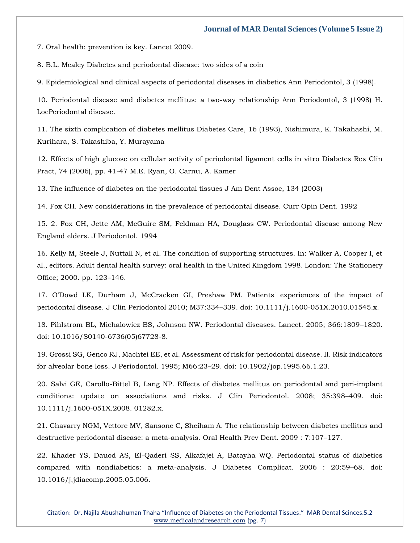[7. Oral health: prevention is key. Lancet 2009.](https://www.google.com/search?q=Oral+health%3A+prevention+is+key&sxsrf=APq-WBt2N8J_OYviIxMdoYCwQEzKT_A5AQ%3A1647687513138&ei=Wbc1YvSGCMKW4-EPlZWjmAw&ved=0ahUKEwi0l6-ngtL2AhVCyzgGHZXKCMMQ4dUDCA4&oq=Oral+health%3A+prevention+is+key&gs_lcp=Cgdnd3Mtd2l6EAwyBAgjECcyBQgAEIAEOgcIIxDqAhAnSgQIQRgASgQIRhgAUIUDWIUDYKAHaAFwAHgAgAFkiAFkkgEDMC4xmAEAoAEBoAECsAEKwAEB&sclient=gws-wiz)

[8. B.L. Mealey Diabetes and periodontal disease: two sides of a coin](https://www.google.com/search?q=Mealey+Diabetes+and+periodontal+disease%3A+two+sides+of+a+coin+&sxsrf=APq-WBvin-m92bPvo_RfcgjvfculbOKoiQ%3A1647687498367&ei=Src1YtL7FcGd4-EPgcmQmAE&ved=0ahUKEwjSyKmggtL2AhXBzjgGHYEkBBMQ4dUDCA4&oq=Mealey+Diabetes+and+periodontal+disease%3A+two+sides+of+a+coin+&gs_lcp=Cgdnd3Mtd2l6EAwyBAgjECc6BwgjEOoCECdKBAhBGABKBAhGGABQ5QFY5QFgtQloAXAAeACAAWmIAWmSAQMwLjGYAQCgAQGgAQKwAQrAAQE&sclient=gws-wiz)

[9. Epidemiological and clinical aspects of periodontal diseases in diabetics Ann Periodontol, 3 \(1998\).](https://www.google.com/search?q=Epidemiological+and+clinical+aspects+of+periodontal+diseases+in+diabetics+&sxsrf=APq-WBvqcmYsfFjR9ovpbgaJJK4h56Sm_g%3A1647687483536&ei=O7c1YsKfIMWO4-EP1LiV2Ac&ved=0ahUKEwiCqaCZgtL2AhVFxzgGHVRcBXsQ4dUDCA4&oq=Epidemiological+and+clinical+aspects+of+periodontal+diseases+in+diabetics+&gs_lcp=Cgdnd3Mtd2l6EAw6BwgjEOoCECdKBAhBGABKBAhGGABQPlg-YIUJaAFwAXgAgAFriAFrkgEDMC4xmAEAoAEBoAECsAEKwAEB&sclient=gws-wiz)

[10. Periodontal disease and diabetes mellitus: a two-way relationship Ann Periodontol, 3 \(1998\) H.](https://www.google.com/search?q=Periodontal+disease+and+diabetes+mellitus%3A+a+two-way+relationship+Ann+&sxsrf=APq-WBvaL4Ffq-HYetRJN08Xi2tVA1a8sQ%3A1647687469455&ei=Lbc1YqSyG-iC4-EP8OmUyAE&ved=0ahUKEwjk_MSSgtL2AhVowTgGHfA0BRkQ4dUDCA4&oq=Periodontal+disease+and+diabetes+mellitus%3A+a+two-way+relationship+Ann+&gs_lcp=Cgdnd3Mtd2l6EAw6BwgjEOoCECdKBAhBGABKBAhGGABQIFggYMIIaAFwAXgAgAF2iAF2kgEDMC4xmAEAoAEBoAECsAEKwAEB&sclient=gws-wiz)  [LoePeriodontal disease.](https://www.google.com/search?q=Periodontal+disease+and+diabetes+mellitus%3A+a+two-way+relationship+Ann+&sxsrf=APq-WBvaL4Ffq-HYetRJN08Xi2tVA1a8sQ%3A1647687469455&ei=Lbc1YqSyG-iC4-EP8OmUyAE&ved=0ahUKEwjk_MSSgtL2AhVowTgGHfA0BRkQ4dUDCA4&oq=Periodontal+disease+and+diabetes+mellitus%3A+a+two-way+relationship+Ann+&gs_lcp=Cgdnd3Mtd2l6EAw6BwgjEOoCECdKBAhBGABKBAhGGABQIFggYMIIaAFwAXgAgAF2iAF2kgEDMC4xmAEAoAEBoAECsAEKwAEB&sclient=gws-wiz)

[11. The sixth complication of diabetes mellitus Diabetes Care, 16 \(1993\), Nishimura, K. Takahashi, M.](https://www.google.com/search?q=The+sixth+complication+of+diabetes+mellitus+Diabetes+Care&sxsrf=APq-WBvzLPPAUUW4HHLYQBuvZmDUJS2Pqg%3A1647687454158&ei=Hrc1Yv2dCbmL4-EP5O6c0A4&ved=0ahUKEwj9pJ-LgtL2AhW5xTgGHWQ3B-oQ4dUDCA4&oq=The+sixth+complication+of+diabetes+mellitus+Diabetes+Care&gs_lcp=Cgdnd3Mtd2l6EAwyBAgjECc6BwgjEOoCECdKBAhBGABKBAhGGABQxQJYxQJg4gloAXAAeACAAW-IAW-SAQMwLjGYAQCgAQGgAQKwAQrAAQE&sclient=gws-wiz)  [Kurihara, S. Takashiba, Y. Murayama](https://www.google.com/search?q=The+sixth+complication+of+diabetes+mellitus+Diabetes+Care&sxsrf=APq-WBvzLPPAUUW4HHLYQBuvZmDUJS2Pqg%3A1647687454158&ei=Hrc1Yv2dCbmL4-EP5O6c0A4&ved=0ahUKEwj9pJ-LgtL2AhW5xTgGHWQ3B-oQ4dUDCA4&oq=The+sixth+complication+of+diabetes+mellitus+Diabetes+Care&gs_lcp=Cgdnd3Mtd2l6EAwyBAgjECc6BwgjEOoCECdKBAhBGABKBAhGGABQxQJYxQJg4gloAXAAeACAAW-IAW-SAQMwLjGYAQCgAQGgAQKwAQrAAQE&sclient=gws-wiz)

[12. Effects of high glucose on cellular activity of periodontal ligament cells in vitro Diabetes Res Clin](https://www.google.com/search?q=Effects+of+high+glucose+on+cellular+activity+of+periodontal+ligament+cells+in+vitro+Diabete&sxsrf=APq-WBsAXYMaLjqWx2V6vKhAlHlLgdOvaQ%3A1647687435585&ei=C7c1YsuzI_Wf4-EPpJ2huAc&ved=0ahUKEwiL5bGCgtL2AhX1zzgGHaROCHcQ4dUDCA4&oq=Effects+of+high+glucose+on+cellular+activity+of+periodontal+ligament+cells+in+vitro+Diabete&gs_lcp=Cgdnd3Mtd2l6EAwyBAghEAo6BwgjEOoCECdKBAhBGABKBAhGGABQRFhEYIALaAFwAHgAgAFhiAFhkgEBMZgBAKABAaABArABCsABAQ&sclient=gws-wiz)  [Pract, 74 \(2006\), pp. 41-47 M.E. Ryan, O. Carnu, A. Kamer](https://www.google.com/search?q=Effects+of+high+glucose+on+cellular+activity+of+periodontal+ligament+cells+in+vitro+Diabete&sxsrf=APq-WBsAXYMaLjqWx2V6vKhAlHlLgdOvaQ%3A1647687435585&ei=C7c1YsuzI_Wf4-EPpJ2huAc&ved=0ahUKEwiL5bGCgtL2AhX1zzgGHaROCHcQ4dUDCA4&oq=Effects+of+high+glucose+on+cellular+activity+of+periodontal+ligament+cells+in+vitro+Diabete&gs_lcp=Cgdnd3Mtd2l6EAwyBAghEAo6BwgjEOoCECdKBAhBGABKBAhGGABQRFhEYIALaAFwAHgAgAFhiAFhkgEBMZgBAKABAaABArABCsABAQ&sclient=gws-wiz)

[13. The influence of diabetes on the periodontal tissues J Am Dent Assoc, 134 \(2003\)](https://www.google.com/search?q=The+influence+of+diabetes+on+the+periodontal+tissues+&sxsrf=APq-WBuEie9itF9dmvezErbFeeV_cyoMPg%3A1647687421845&ei=_bY1YsSAM9qe4-EP9IWm4AE&ved=0ahUKEwiE8-r7gdL2AhVazzgGHfSCCRwQ4dUDCA4&oq=The+influence+of+diabetes+on+the+periodontal+tissues+&gs_lcp=Cgdnd3Mtd2l6EAwyBggAEBYQHjoHCCMQ6gIQJ0oECEEYAEoECEYYAFBXWFdg6gRoAXABeACAAVyIAVySAQExmAEAoAEBoAECsAEKwAEB&sclient=gws-wiz)

[14. Fox CH. New considerations in the prevalence of periodontal disease. Curr Opin Dent. 1992](https://www.google.com/search?q=New+considerations+in+the+prevalence+of+periodontal+disease&sxsrf=APq-WBvvJUTGwFw4tY9k3X5e3s5u3vlfJg%3A1647687408267&ei=8LY1YuXpD_Ge4-EPysa9-A8&ved=0ahUKEwjloa71gdL2AhVxzzgGHUpjD_8Q4dUDCA4&oq=New+considerations+in+the+prevalence+of+periodontal+disease&gs_lcp=Cgdnd3Mtd2l6EAwyBAgjECc6BwgjEOoCECdKBAhBGABKBAhGGABQiAFYiAFgggZoAXAAeACAAWGIAWGSAQExmAEAoAEBoAECsAEKwAEB&sclient=gws-wiz)

[15. 2. Fox CH, Jette AM, McGuire SM, Feldman HA, Douglass CW. Periodontal disease among New](https://www.google.com/search?q=Periodontal+disease+among+New+England+elders.&sxsrf=APq-WBt1wwl3HNuTa5HDABea04BVbTWEQg%3A1647687394000&ei=4bY1YoncPPHF4-EP3P-Y0Ak&ved=0ahUKEwjJ0MfugdL2AhXx4jgGHdw_BpoQ4dUDCA4&oq=Periodontal+disease+among+New+England+elders.&gs_lcp=Cgdnd3Mtd2l6EAwyBQghEKABOgcIIxDqAhAnSgQIQRgASgQIRhgAULIBWLIBYMUKaAFwAXgAgAGkAYgBpAGSAQMwLjGYAQCgAQGgAQKwAQrAAQE&sclient=gws-wiz)  [England elders. J Periodontol. 1994](https://www.google.com/search?q=Periodontal+disease+among+New+England+elders.&sxsrf=APq-WBt1wwl3HNuTa5HDABea04BVbTWEQg%3A1647687394000&ei=4bY1YoncPPHF4-EP3P-Y0Ak&ved=0ahUKEwjJ0MfugdL2AhXx4jgGHdw_BpoQ4dUDCA4&oq=Periodontal+disease+among+New+England+elders.&gs_lcp=Cgdnd3Mtd2l6EAwyBQghEKABOgcIIxDqAhAnSgQIQRgASgQIRhgAULIBWLIBYMUKaAFwAXgAgAGkAYgBpAGSAQMwLjGYAQCgAQGgAQKwAQrAAQE&sclient=gws-wiz)

[16. Kelly M, Steele J, Nuttall N, et al. The condition of supporting structures. In: Walker A, Cooper I, et](https://www.google.com/search?q=The+condition+of+supporting+structures.+In%3A+Walker+A%2C+Cooper+I%2C+et+al.%2C+editors&sxsrf=APq-WBvvlKYoY0K7KUs-SFKMwNAjmkBtvg%3A1647687375050&ei=z7Y1YufUAtuW4-EPmrWD8A8&ved=0ahUKEwin-MLlgdL2AhVbyzgGHZraAP4Q4dUDCA4&oq=The+condition+of+supporting+structures.+In%3A+Walker+A%2C+Cooper+I%2C+et+al.%2C+editors&gs_lcp=Cgdnd3Mtd2l6EAw6BwgjEOoCECdKBAhBGABKBAhGGABQhAJYhAJgpwpoAXAAeACAAWyIAWySAQMwLjGYAQCgAQGgAQKwAQrAAQE&sclient=gws-wiz)  [al., editors. Adult dental health survey: oral health in the United Kingdom 1998. London: The Stationery](https://www.google.com/search?q=The+condition+of+supporting+structures.+In%3A+Walker+A%2C+Cooper+I%2C+et+al.%2C+editors&sxsrf=APq-WBvvlKYoY0K7KUs-SFKMwNAjmkBtvg%3A1647687375050&ei=z7Y1YufUAtuW4-EPmrWD8A8&ved=0ahUKEwin-MLlgdL2AhVbyzgGHZraAP4Q4dUDCA4&oq=The+condition+of+supporting+structures.+In%3A+Walker+A%2C+Cooper+I%2C+et+al.%2C+editors&gs_lcp=Cgdnd3Mtd2l6EAw6BwgjEOoCECdKBAhBGABKBAhGGABQhAJYhAJgpwpoAXAAeACAAWyIAWySAQMwLjGYAQCgAQGgAQKwAQrAAQE&sclient=gws-wiz)  [Office; 2000. pp. 123](https://www.google.com/search?q=The+condition+of+supporting+structures.+In%3A+Walker+A%2C+Cooper+I%2C+et+al.%2C+editors&sxsrf=APq-WBvvlKYoY0K7KUs-SFKMwNAjmkBtvg%3A1647687375050&ei=z7Y1YufUAtuW4-EPmrWD8A8&ved=0ahUKEwin-MLlgdL2AhVbyzgGHZraAP4Q4dUDCA4&oq=The+condition+of+supporting+structures.+In%3A+Walker+A%2C+Cooper+I%2C+et+al.%2C+editors&gs_lcp=Cgdnd3Mtd2l6EAw6BwgjEOoCECdKBAhBGABKBAhGGABQhAJYhAJgpwpoAXAAeACAAWyIAWySAQMwLjGYAQCgAQGgAQKwAQrAAQE&sclient=gws-wiz)–146.

[17. O'Dowd LK, Durham J, McCracken GI, Preshaw PM. Patients' experiences of the impact of](https://www.google.com/search?q=Patients%27+experiences+of+the+impact+of+periodontal+disease&sxsrf=APq-WBtxVY2GiSB109y6Pt-H3sJTIp4iQQ%3A1647687361344&ei=wbY1YuTVFKiW4-EP9Oy3oAE&ved=0ahUKEwikuv7egdL2AhUoyzgGHXT2DRQQ4dUDCA4&oq=Patients%27+experiences+of+the+impact+of+periodontal+disease&gs_lcp=Cgdnd3Mtd2l6EAwyBQghEKABOgcIIxDqAhAnSgQIQRgASgQIRhgAUBhYGGCVCWgBcAF4AIABmQGIAZkBkgEDMC4xmAEAoAEBoAECsAEKwAEB&sclient=gws-wiz)  [periodontal disease. J Clin Periodontol 2010; M37:334](https://www.google.com/search?q=Patients%27+experiences+of+the+impact+of+periodontal+disease&sxsrf=APq-WBtxVY2GiSB109y6Pt-H3sJTIp4iQQ%3A1647687361344&ei=wbY1YuTVFKiW4-EP9Oy3oAE&ved=0ahUKEwikuv7egdL2AhUoyzgGHXT2DRQQ4dUDCA4&oq=Patients%27+experiences+of+the+impact+of+periodontal+disease&gs_lcp=Cgdnd3Mtd2l6EAwyBQghEKABOgcIIxDqAhAnSgQIQRgASgQIRhgAUBhYGGCVCWgBcAF4AIABmQGIAZkBkgEDMC4xmAEAoAEBoAECsAEKwAEB&sclient=gws-wiz)–339. doi: 10.1111/j.1600-051X.2010.01545.x.

[18. Pihlstrom BL, Michalowicz BS, Johnson NW. Periodontal diseases. Lancet. 2005; 366:1809](https://www.google.com/search?q=Periodontal+diseases.+Lancet&sxsrf=APq-WBt-AHu55Svh631h0wB81yDzlvQYLA%3A1647687349687&ei=tbY1YvrFKZyD4-EPtpyveA&ved=0ahUKEwi69LbZgdL2AhWcwTgGHTbOCw8Q4dUDCA4&oq=Periodontal+diseases.+Lancet&gs_lcp=Cgdnd3Mtd2l6EAwyBggAEBYQHjoHCCMQ6gIQJ0oECEEYAEoECEYYAFDVAVjVAWCnCWgBcAF4AIABY4gBY5IBATGYAQCgAQGgAQKwAQrAAQE&sclient=gws-wiz)–1820. [doi: 10.1016/S0140-6736\(05\)67728-8.](https://www.google.com/search?q=Periodontal+diseases.+Lancet&sxsrf=APq-WBt-AHu55Svh631h0wB81yDzlvQYLA%3A1647687349687&ei=tbY1YvrFKZyD4-EPtpyveA&ved=0ahUKEwi69LbZgdL2AhWcwTgGHTbOCw8Q4dUDCA4&oq=Periodontal+diseases.+Lancet&gs_lcp=Cgdnd3Mtd2l6EAwyBggAEBYQHjoHCCMQ6gIQJ0oECEEYAEoECEYYAFDVAVjVAWCnCWgBcAF4AIABY4gBY5IBATGYAQCgAQGgAQKwAQrAAQE&sclient=gws-wiz)

[19. Grossi SG, Genco RJ, Machtei EE, et al. Assessment of risk for periodontal disease. II. Risk indicators](https://www.google.com/search?q=Assessment+of+risk+for+periodontal+disease&sxsrf=APq-WBuubeWx22k6cW7Y17dZSCJm6ymJZA%3A1647687334619&ei=prY1YqeoJd2a4-EP2sy-6As&ved=0ahUKEwink5_SgdL2AhVdzTgGHVqmD70Q4dUDCA4&oq=Assessment+of+risk+for+periodontal+disease&gs_lcp=Cgdnd3Mtd2l6EAwyBggAEBYQHjoHCCMQ6gIQJ0oECEEYAEoECEYYAFBSWFJgsAhoAXAAeACAAVyIAVySAQExmAEAoAEBoAECsAEKwAEB&sclient=gws-wiz)  [for alveolar bone loss. J Periodontol. 1995; M66:23](https://www.google.com/search?q=Assessment+of+risk+for+periodontal+disease&sxsrf=APq-WBuubeWx22k6cW7Y17dZSCJm6ymJZA%3A1647687334619&ei=prY1YqeoJd2a4-EP2sy-6As&ved=0ahUKEwink5_SgdL2AhVdzTgGHVqmD70Q4dUDCA4&oq=Assessment+of+risk+for+periodontal+disease&gs_lcp=Cgdnd3Mtd2l6EAwyBggAEBYQHjoHCCMQ6gIQJ0oECEEYAEoECEYYAFBSWFJgsAhoAXAAeACAAVyIAVySAQExmAEAoAEBoAECsAEKwAEB&sclient=gws-wiz)–29. doi: 10.1902/jop.1995.66.1.23.

[20. Salvi GE, Carollo-Bittel B, Lang NP. Effects of diabetes mellitus on periodontal and peri-implant](https://www.google.com/search?q=Effects+of+diabetes+mellitus+on+periodontal+and+peri-implant+conditions%3A+update+on+associations+and+risks&sxsrf=APq-WBsh4Mar9zKT7p4DAQf3lzVaT4H12g%3A1647687322038&ei=mrY1YrP3Af71juMP6rqssAE&ved=0ahUKEwizrJ_MgdL2AhX-umMGHWodCxYQ4dUDCA4&oq=Effects+of+diabetes+mellitus+on+periodontal+and+peri-implant+conditions%3A+update+on+associations+and+risks&gs_lcp=Cgdnd3Mtd2l6EAwyBwgjEOoCECcyBwgjEOoCECcyBwgjEOoCECcyBwgjEOoCECcyBwgjEOoCECcyBwgjEOoCECcyBwgjEOoCECcyBwgjEOoCECcyBwgjEOoCECcyBwgjEOoCECdKBAhBGABKBAhGGABQGVgZYKYIaAFwAXgAgAEAiAEAkgEAmAEAoAEBoAECsAEKwAEB&sclient=gws-wiz)  [conditions: update on associations and risks. J Clin Periodontol. 2008; 35:398](https://www.google.com/search?q=Effects+of+diabetes+mellitus+on+periodontal+and+peri-implant+conditions%3A+update+on+associations+and+risks&sxsrf=APq-WBsh4Mar9zKT7p4DAQf3lzVaT4H12g%3A1647687322038&ei=mrY1YrP3Af71juMP6rqssAE&ved=0ahUKEwizrJ_MgdL2AhX-umMGHWodCxYQ4dUDCA4&oq=Effects+of+diabetes+mellitus+on+periodontal+and+peri-implant+conditions%3A+update+on+associations+and+risks&gs_lcp=Cgdnd3Mtd2l6EAwyBwgjEOoCECcyBwgjEOoCECcyBwgjEOoCECcyBwgjEOoCECcyBwgjEOoCECcyBwgjEOoCECcyBwgjEOoCECcyBwgjEOoCECcyBwgjEOoCECcyBwgjEOoCECdKBAhBGABKBAhGGABQGVgZYKYIaAFwAXgAgAEAiAEAkgEAmAEAoAEBoAECsAEKwAEB&sclient=gws-wiz)–409. doi: [10.1111/j.1600-051X.2008. 01282.x.](https://www.google.com/search?q=Effects+of+diabetes+mellitus+on+periodontal+and+peri-implant+conditions%3A+update+on+associations+and+risks&sxsrf=APq-WBsh4Mar9zKT7p4DAQf3lzVaT4H12g%3A1647687322038&ei=mrY1YrP3Af71juMP6rqssAE&ved=0ahUKEwizrJ_MgdL2AhX-umMGHWodCxYQ4dUDCA4&oq=Effects+of+diabetes+mellitus+on+periodontal+and+peri-implant+conditions%3A+update+on+associations+and+risks&gs_lcp=Cgdnd3Mtd2l6EAwyBwgjEOoCECcyBwgjEOoCECcyBwgjEOoCECcyBwgjEOoCECcyBwgjEOoCECcyBwgjEOoCECcyBwgjEOoCECcyBwgjEOoCECcyBwgjEOoCECcyBwgjEOoCECdKBAhBGABKBAhGGABQGVgZYKYIaAFwAXgAgAEAiAEAkgEAmAEAoAEBoAECsAEKwAEB&sclient=gws-wiz)

[21. Chavarry NGM, Vettore MV, Sansone C, Sheiham A. The relationship between diabetes mellitus and](https://www.google.com/search?q=The+relationship+between+diabetes+mellitus+and+destructive+periodontal+disease%3A+a+meta-analysis.&sxsrf=APq-WBut9xxHdbFFSZbWJVi0SHesvdujGw%3A1647687309453&ei=jbY1YrCoG-mb4-EPt925kAM&ved=0ahUKEwjwop_GgdL2AhXpzTgGHbduDjIQ4dUDCA4&oq=The+relationship+between+diabetes+mellitus+and+destructive+periodontal+disease%3A+a+meta-analysis.&gs_lcp=Cgdnd3Mtd2l6EAwyBAgAEB46BwgjEOoCECdKBAhBGABKBAhGGABQ9wFY9wFg0wloAXAAeACAAV-IAV-SAQExmAEAoAEBoAECsAEKwAEB&sclient=gws-wiz)  [destructive periodontal disease: a meta-analysis. Oral Health Prev Dent. 2009 : 7:107](https://www.google.com/search?q=The+relationship+between+diabetes+mellitus+and+destructive+periodontal+disease%3A+a+meta-analysis.&sxsrf=APq-WBut9xxHdbFFSZbWJVi0SHesvdujGw%3A1647687309453&ei=jbY1YrCoG-mb4-EPt925kAM&ved=0ahUKEwjwop_GgdL2AhXpzTgGHbduDjIQ4dUDCA4&oq=The+relationship+between+diabetes+mellitus+and+destructive+periodontal+disease%3A+a+meta-analysis.&gs_lcp=Cgdnd3Mtd2l6EAwyBAgAEB46BwgjEOoCECdKBAhBGABKBAhGGABQ9wFY9wFg0wloAXAAeACAAV-IAV-SAQExmAEAoAEBoAECsAEKwAEB&sclient=gws-wiz)–127.

[22. Khader YS, Dauod AS, El-Qaderi SS, Alkafajei A, Batayha WQ. Periodontal status of diabetics](https://www.google.com/search?q=Periodontal+status+of+diabetics+compared+with+nondiabetics%3A+a+meta-analysis&sxsrf=APq-WBt1qiYB6tDCbQooydNyxnzmIx8j7A%3A1647687295926&ei=f7Y1YuuUONKe4-EPpsi-yAc&ved=0ahUKEwir0OW_gdL2AhVSzzgGHSakD3kQ4dUDCA4&oq=Periodontal+status+of+diabetics+compared+with+nondiabetics%3A+a+meta-analysis&gs_lcp=Cgdnd3Mtd2l6EAwyCAgAEBYQChAeOgcIIxDqAhAnSgQIQRgASgQIRhgAUBZYFmDbBGgBcAF4AIABZogBZpIBAzAuMZgBAKABAaABArABCsABAQ&sclient=gws-wiz)  [compared with nondiabetics: a meta-analysis. J Diabetes Complicat. 2006 : 20:59](https://www.google.com/search?q=Periodontal+status+of+diabetics+compared+with+nondiabetics%3A+a+meta-analysis&sxsrf=APq-WBt1qiYB6tDCbQooydNyxnzmIx8j7A%3A1647687295926&ei=f7Y1YuuUONKe4-EPpsi-yAc&ved=0ahUKEwir0OW_gdL2AhVSzzgGHSakD3kQ4dUDCA4&oq=Periodontal+status+of+diabetics+compared+with+nondiabetics%3A+a+meta-analysis&gs_lcp=Cgdnd3Mtd2l6EAwyCAgAEBYQChAeOgcIIxDqAhAnSgQIQRgASgQIRhgAUBZYFmDbBGgBcAF4AIABZogBZpIBAzAuMZgBAKABAaABArABCsABAQ&sclient=gws-wiz)–68. doi: [10.1016/j.jdiacomp.2005.05.006.](https://www.google.com/search?q=Periodontal+status+of+diabetics+compared+with+nondiabetics%3A+a+meta-analysis&sxsrf=APq-WBt1qiYB6tDCbQooydNyxnzmIx8j7A%3A1647687295926&ei=f7Y1YuuUONKe4-EPpsi-yAc&ved=0ahUKEwir0OW_gdL2AhVSzzgGHSakD3kQ4dUDCA4&oq=Periodontal+status+of+diabetics+compared+with+nondiabetics%3A+a+meta-analysis&gs_lcp=Cgdnd3Mtd2l6EAwyCAgAEBYQChAeOgcIIxDqAhAnSgQIQRgASgQIRhgAUBZYFmDbBGgBcAF4AIABZogBZpIBAzAuMZgBAKABAaABArABCsABAQ&sclient=gws-wiz)